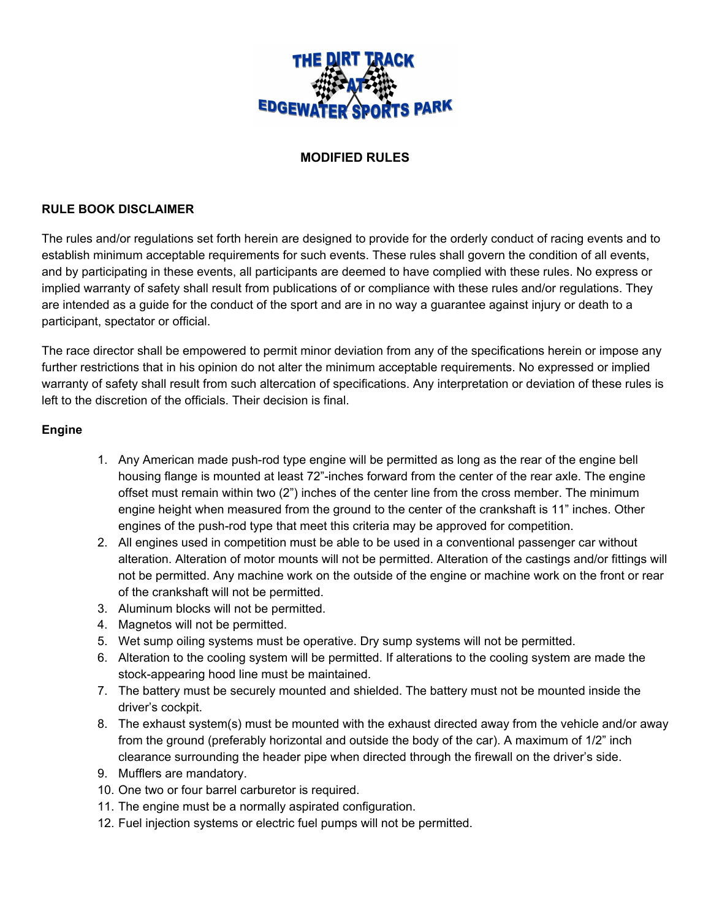

## **MODIFIED RULES**

#### **RULE BOOK DISCLAIMER**

The rules and/or regulations set forth herein are designed to provide for the orderly conduct of racing events and to establish minimum acceptable requirements for such events. These rules shall govern the condition of all events, and by participating in these events, all participants are deemed to have complied with these rules. No express or implied warranty of safety shall result from publications of or compliance with these rules and/or regulations. They are intended as a guide for the conduct of the sport and are in no way a guarantee against injury or death to a participant, spectator or official.

The race director shall be empowered to permit minor deviation from any of the specifications herein or impose any further restrictions that in his opinion do not alter the minimum acceptable requirements. No expressed or implied warranty of safety shall result from such altercation of specifications. Any interpretation or deviation of these rules is left to the discretion of the officials. Their decision is final.

#### **Engine**

- 1. Any American made push-rod type engine will be permitted as long as the rear of the engine bell housing flange is mounted at least 72"-inches forward from the center of the rear axle. The engine offset must remain within two (2") inches of the center line from the cross member. The minimum engine height when measured from the ground to the center of the crankshaft is 11" inches. Other engines of the push-rod type that meet this criteria may be approved for competition.
- 2. All engines used in competition must be able to be used in a conventional passenger car without alteration. Alteration of motor mounts will not be permitted. Alteration of the castings and/or fittings will not be permitted. Any machine work on the outside of the engine or machine work on the front or rear of the crankshaft will not be permitted.
- 3. Aluminum blocks will not be permitted.
- 4. Magnetos will not be permitted.
- 5. Wet sump oiling systems must be operative. Dry sump systems will not be permitted.
- 6. Alteration to the cooling system will be permitted. If alterations to the cooling system are made the stock-appearing hood line must be maintained.
- 7. The battery must be securely mounted and shielded. The battery must not be mounted inside the driver's cockpit.
- 8. The exhaust system(s) must be mounted with the exhaust directed away from the vehicle and/or away from the ground (preferably horizontal and outside the body of the car). A maximum of 1/2" inch clearance surrounding the header pipe when directed through the firewall on the driver's side.
- 9. Mufflers are mandatory.
- 10. One two or four barrel carburetor is required.
- 11. The engine must be a normally aspirated configuration.
- 12. Fuel injection systems or electric fuel pumps will not be permitted.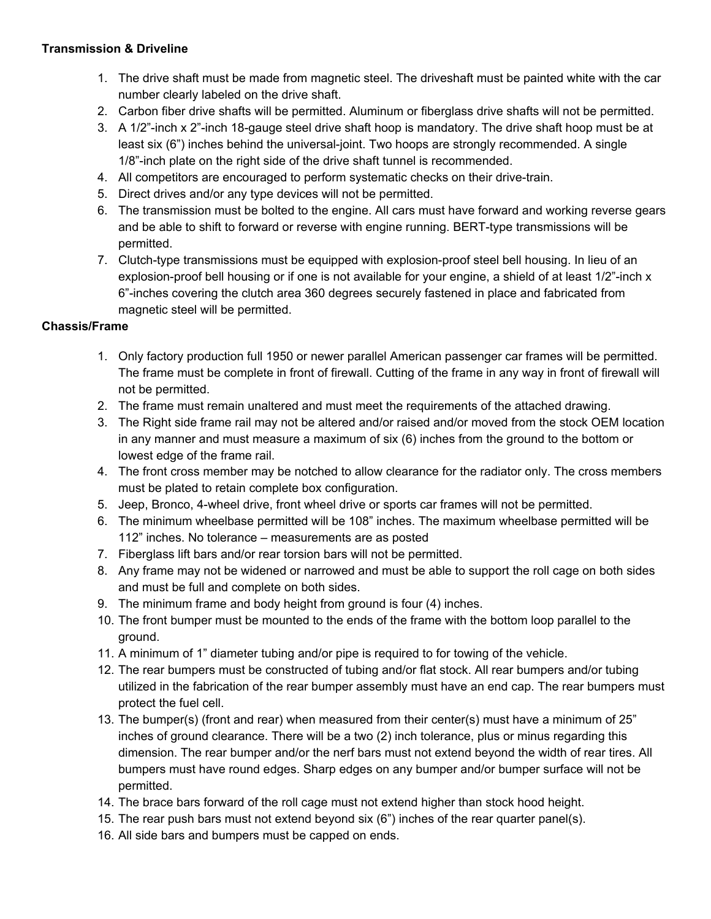### **Transmission & Driveline**

- 1. The drive shaft must be made from magnetic steel. The driveshaft must be painted white with the car number clearly labeled on the drive shaft.
- 2. Carbon fiber drive shafts will be permitted. Aluminum or fiberglass drive shafts will not be permitted.
- 3. A 1/2"-inch x 2"-inch 18-gauge steel drive shaft hoop is mandatory. The drive shaft hoop must be at least six (6") inches behind the universal-joint. Two hoops are strongly recommended. A single 1/8"-inch plate on the right side of the drive shaft tunnel is recommended.
- 4. All competitors are encouraged to perform systematic checks on their drive-train.
- 5. Direct drives and/or any type devices will not be permitted.
- 6. The transmission must be bolted to the engine. All cars must have forward and working reverse gears and be able to shift to forward or reverse with engine running. BERT-type transmissions will be permitted.
- 7. Clutch-type transmissions must be equipped with explosion-proof steel bell housing. In lieu of an explosion-proof bell housing or if one is not available for your engine, a shield of at least 1/2"-inch x 6"-inches covering the clutch area 360 degrees securely fastened in place and fabricated from magnetic steel will be permitted.

### **Chassis/Frame**

- 1. Only factory production full 1950 or newer parallel American passenger car frames will be permitted. The frame must be complete in front of firewall. Cutting of the frame in any way in front of firewall will not be permitted.
- 2. The frame must remain unaltered and must meet the requirements of the attached drawing.
- 3. The Right side frame rail may not be altered and/or raised and/or moved from the stock OEM location in any manner and must measure a maximum of six (6) inches from the ground to the bottom or lowest edge of the frame rail.
- 4. The front cross member may be notched to allow clearance for the radiator only. The cross members must be plated to retain complete box configuration.
- 5. Jeep, Bronco, 4-wheel drive, front wheel drive or sports car frames will not be permitted.
- 6. The minimum wheelbase permitted will be 108" inches. The maximum wheelbase permitted will be 112" inches. No tolerance – measurements are as posted
- 7. Fiberglass lift bars and/or rear torsion bars will not be permitted.
- 8. Any frame may not be widened or narrowed and must be able to support the roll cage on both sides and must be full and complete on both sides.
- 9. The minimum frame and body height from ground is four (4) inches.
- 10. The front bumper must be mounted to the ends of the frame with the bottom loop parallel to the ground.
- 11. A minimum of 1" diameter tubing and/or pipe is required to for towing of the vehicle.
- 12. The rear bumpers must be constructed of tubing and/or flat stock. All rear bumpers and/or tubing utilized in the fabrication of the rear bumper assembly must have an end cap. The rear bumpers must protect the fuel cell.
- 13. The bumper(s) (front and rear) when measured from their center(s) must have a minimum of 25" inches of ground clearance. There will be a two (2) inch tolerance, plus or minus regarding this dimension. The rear bumper and/or the nerf bars must not extend beyond the width of rear tires. All bumpers must have round edges. Sharp edges on any bumper and/or bumper surface will not be permitted.
- 14. The brace bars forward of the roll cage must not extend higher than stock hood height.
- 15. The rear push bars must not extend beyond six (6") inches of the rear quarter panel(s).
- 16. All side bars and bumpers must be capped on ends.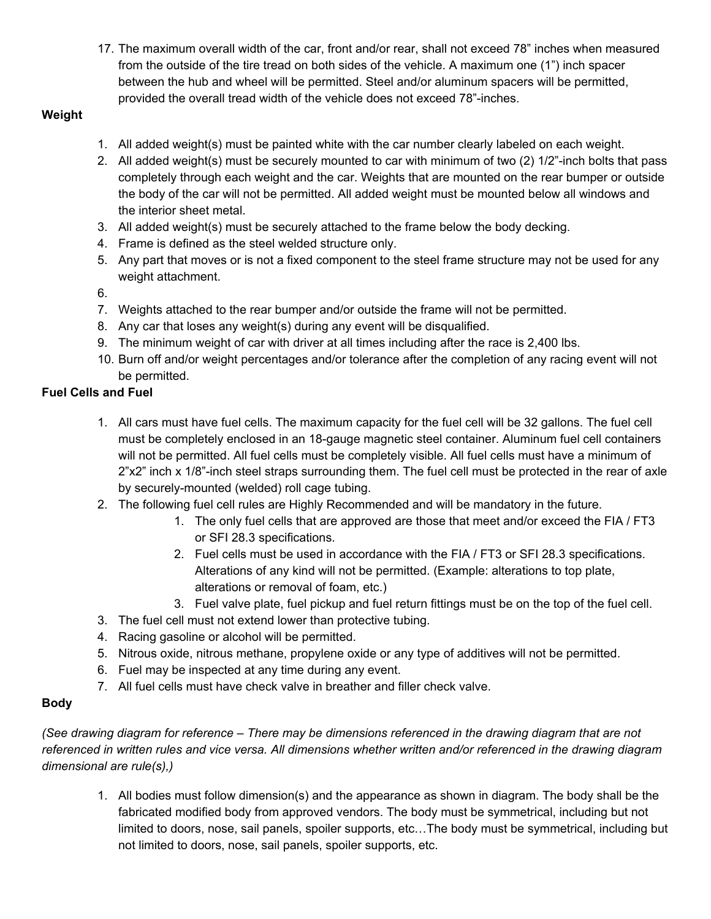17. The maximum overall width of the car, front and/or rear, shall not exceed 78" inches when measured from the outside of the tire tread on both sides of the vehicle. A maximum one (1") inch spacer between the hub and wheel will be permitted. Steel and/or aluminum spacers will be permitted, provided the overall tread width of the vehicle does not exceed 78"-inches.

## **Weight**

- 1. All added weight(s) must be painted white with the car number clearly labeled on each weight.
- 2. All added weight(s) must be securely mounted to car with minimum of two (2) 1/2"-inch bolts that pass completely through each weight and the car. Weights that are mounted on the rear bumper or outside the body of the car will not be permitted. All added weight must be mounted below all windows and the interior sheet metal.
- 3. All added weight(s) must be securely attached to the frame below the body decking.
- 4. Frame is defined as the steel welded structure only.
- 5. Any part that moves or is not a fixed component to the steel frame structure may not be used for any weight attachment.
- 6.
- 7. Weights attached to the rear bumper and/or outside the frame will not be permitted.
- 8. Any car that loses any weight(s) during any event will be disqualified.
- 9. The minimum weight of car with driver at all times including after the race is 2,400 lbs.
- 10. Burn off and/or weight percentages and/or tolerance after the completion of any racing event will not be permitted.

## **Fuel Cells and Fuel**

- 1. All cars must have fuel cells. The maximum capacity for the fuel cell will be 32 gallons. The fuel cell must be completely enclosed in an 18-gauge magnetic steel container. Aluminum fuel cell containers will not be permitted. All fuel cells must be completely visible. All fuel cells must have a minimum of 2"x2" inch x 1/8"-inch steel straps surrounding them. The fuel cell must be protected in the rear of axle by securely-mounted (welded) roll cage tubing.
- 2. The following fuel cell rules are Highly Recommended and will be mandatory in the future.
	- 1. The only fuel cells that are approved are those that meet and/or exceed the FIA / FT3 or SFI 28.3 specifications.
	- 2. Fuel cells must be used in accordance with the FIA / FT3 or SFI 28.3 specifications. Alterations of any kind will not be permitted. (Example: alterations to top plate, alterations or removal of foam, etc.)
	- 3. Fuel valve plate, fuel pickup and fuel return fittings must be on the top of the fuel cell.
- 3. The fuel cell must not extend lower than protective tubing.
- 4. Racing gasoline or alcohol will be permitted.
- 5. Nitrous oxide, nitrous methane, propylene oxide or any type of additives will not be permitted.
- 6. Fuel may be inspected at any time during any event.
- 7. All fuel cells must have check valve in breather and filler check valve.

## **Body**

*(See drawing diagram for reference – There may be dimensions referenced in the drawing diagram that are not referenced in written rules and vice versa. All dimensions whether written and/or referenced in the drawing diagram dimensional are rule(s),)*

1. All bodies must follow dimension(s) and the appearance as shown in diagram. The body shall be the fabricated modified body from approved vendors. The body must be symmetrical, including but not limited to doors, nose, sail panels, spoiler supports, etc…The body must be symmetrical, including but not limited to doors, nose, sail panels, spoiler supports, etc.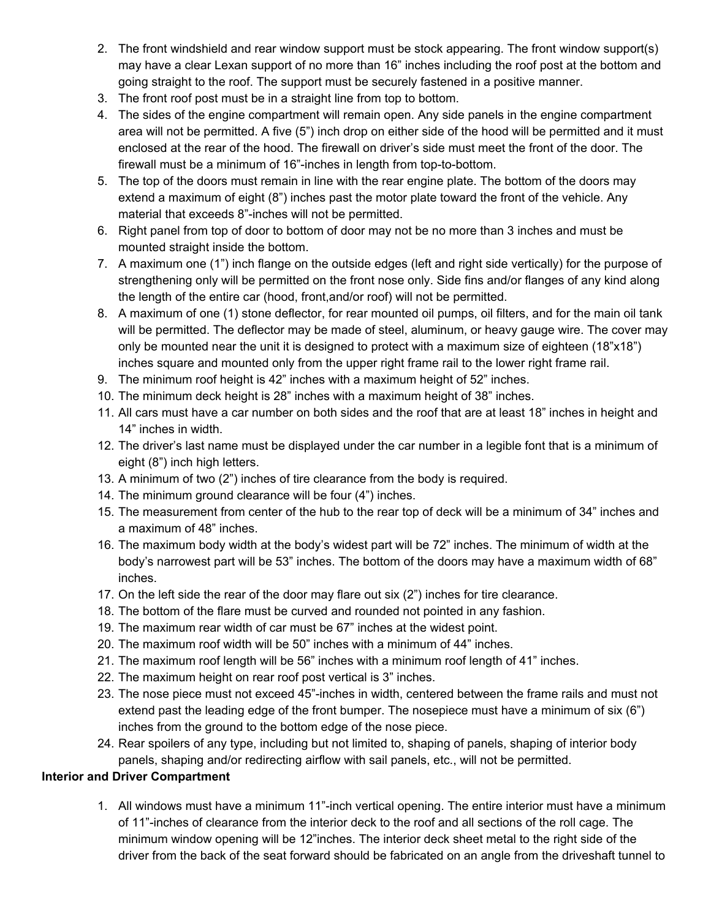- 2. The front windshield and rear window support must be stock appearing. The front window support(s) may have a clear Lexan support of no more than 16" inches including the roof post at the bottom and going straight to the roof. The support must be securely fastened in a positive manner.
- 3. The front roof post must be in a straight line from top to bottom.
- 4. The sides of the engine compartment will remain open. Any side panels in the engine compartment area will not be permitted. A five (5") inch drop on either side of the hood will be permitted and it must enclosed at the rear of the hood. The firewall on driver's side must meet the front of the door. The firewall must be a minimum of 16"-inches in length from top-to-bottom.
- 5. The top of the doors must remain in line with the rear engine plate. The bottom of the doors may extend a maximum of eight (8") inches past the motor plate toward the front of the vehicle. Any material that exceeds 8"-inches will not be permitted.
- 6. Right panel from top of door to bottom of door may not be no more than 3 inches and must be mounted straight inside the bottom.
- 7. A maximum one (1") inch flange on the outside edges (left and right side vertically) for the purpose of strengthening only will be permitted on the front nose only. Side fins and/or flanges of any kind along the length of the entire car (hood, front,and/or roof) will not be permitted.
- 8. A maximum of one (1) stone deflector, for rear mounted oil pumps, oil filters, and for the main oil tank will be permitted. The deflector may be made of steel, aluminum, or heavy gauge wire. The cover may only be mounted near the unit it is designed to protect with a maximum size of eighteen (18"x18") inches square and mounted only from the upper right frame rail to the lower right frame rail.
- 9. The minimum roof height is 42" inches with a maximum height of 52" inches.
- 10. The minimum deck height is 28" inches with a maximum height of 38" inches.
- 11. All cars must have a car number on both sides and the roof that are at least 18" inches in height and 14" inches in width.
- 12. The driver's last name must be displayed under the car number in a legible font that is a minimum of eight (8") inch high letters.
- 13. A minimum of two (2") inches of tire clearance from the body is required.
- 14. The minimum ground clearance will be four (4") inches.
- 15. The measurement from center of the hub to the rear top of deck will be a minimum of 34" inches and a maximum of 48" inches.
- 16. The maximum body width at the body's widest part will be 72" inches. The minimum of width at the body's narrowest part will be 53" inches. The bottom of the doors may have a maximum width of 68" inches.
- 17. On the left side the rear of the door may flare out six (2") inches for tire clearance.
- 18. The bottom of the flare must be curved and rounded not pointed in any fashion.
- 19. The maximum rear width of car must be 67" inches at the widest point.
- 20. The maximum roof width will be 50" inches with a minimum of 44" inches.
- 21. The maximum roof length will be 56" inches with a minimum roof length of 41" inches.
- 22. The maximum height on rear roof post vertical is 3" inches.
- 23. The nose piece must not exceed 45"-inches in width, centered between the frame rails and must not extend past the leading edge of the front bumper. The nosepiece must have a minimum of six (6") inches from the ground to the bottom edge of the nose piece.
- 24. Rear spoilers of any type, including but not limited to, shaping of panels, shaping of interior body panels, shaping and/or redirecting airflow with sail panels, etc., will not be permitted.

#### **Interior and Driver Compartment**

1. All windows must have a minimum 11"-inch vertical opening. The entire interior must have a minimum of 11"-inches of clearance from the interior deck to the roof and all sections of the roll cage. The minimum window opening will be 12"inches. The interior deck sheet metal to the right side of the driver from the back of the seat forward should be fabricated on an angle from the driveshaft tunnel to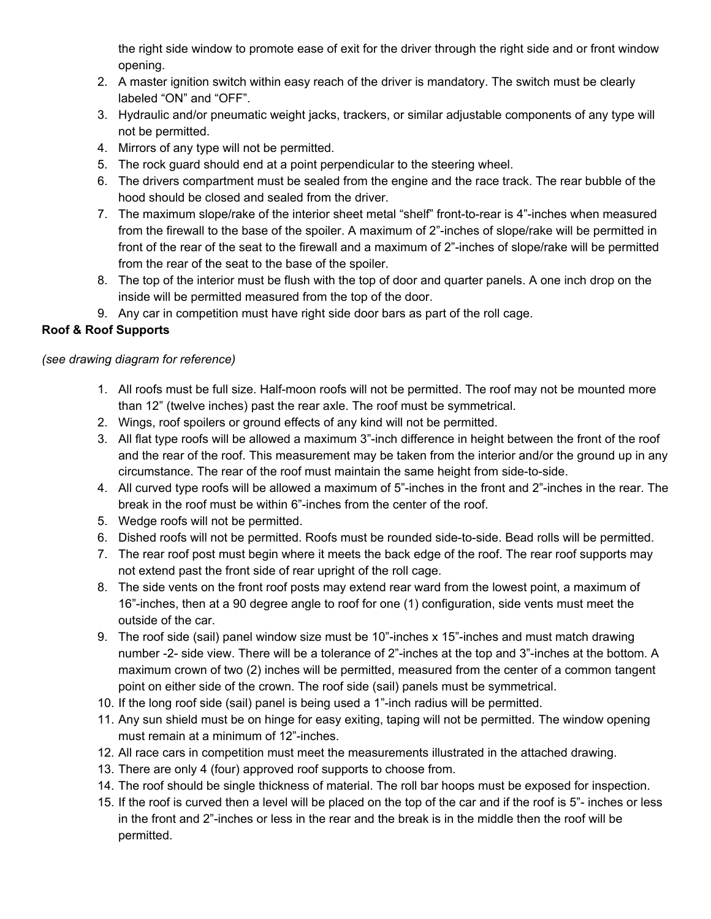the right side window to promote ease of exit for the driver through the right side and or front window opening.

- 2. A master ignition switch within easy reach of the driver is mandatory. The switch must be clearly labeled "ON" and "OFF".
- 3. Hydraulic and/or pneumatic weight jacks, trackers, or similar adjustable components of any type will not be permitted.
- 4. Mirrors of any type will not be permitted.
- 5. The rock guard should end at a point perpendicular to the steering wheel.
- 6. The drivers compartment must be sealed from the engine and the race track. The rear bubble of the hood should be closed and sealed from the driver.
- 7. The maximum slope/rake of the interior sheet metal "shelf" front-to-rear is 4"-inches when measured from the firewall to the base of the spoiler. A maximum of 2"-inches of slope/rake will be permitted in front of the rear of the seat to the firewall and a maximum of 2"-inches of slope/rake will be permitted from the rear of the seat to the base of the spoiler.
- 8. The top of the interior must be flush with the top of door and quarter panels. A one inch drop on the inside will be permitted measured from the top of the door.
- 9. Any car in competition must have right side door bars as part of the roll cage.

## **Roof & Roof Supports**

## *(see drawing diagram for reference)*

- 1. All roofs must be full size. Half-moon roofs will not be permitted. The roof may not be mounted more than 12" (twelve inches) past the rear axle. The roof must be symmetrical.
- 2. Wings, roof spoilers or ground effects of any kind will not be permitted.
- 3. All flat type roofs will be allowed a maximum 3"-inch difference in height between the front of the roof and the rear of the roof. This measurement may be taken from the interior and/or the ground up in any circumstance. The rear of the roof must maintain the same height from side-to-side.
- 4. All curved type roofs will be allowed a maximum of 5"-inches in the front and 2"-inches in the rear. The break in the roof must be within 6"-inches from the center of the roof.
- 5. Wedge roofs will not be permitted.
- 6. Dished roofs will not be permitted. Roofs must be rounded side-to-side. Bead rolls will be permitted.
- 7. The rear roof post must begin where it meets the back edge of the roof. The rear roof supports may not extend past the front side of rear upright of the roll cage.
- 8. The side vents on the front roof posts may extend rear ward from the lowest point, a maximum of 16"-inches, then at a 90 degree angle to roof for one (1) configuration, side vents must meet the outside of the car.
- 9. The roof side (sail) panel window size must be 10"-inches x 15"-inches and must match drawing number -2- side view. There will be a tolerance of 2"-inches at the top and 3"-inches at the bottom. A maximum crown of two (2) inches will be permitted, measured from the center of a common tangent point on either side of the crown. The roof side (sail) panels must be symmetrical.
- 10. If the long roof side (sail) panel is being used a 1"-inch radius will be permitted.
- 11. Any sun shield must be on hinge for easy exiting, taping will not be permitted. The window opening must remain at a minimum of 12"-inches.
- 12. All race cars in competition must meet the measurements illustrated in the attached drawing.
- 13. There are only 4 (four) approved roof supports to choose from.
- 14. The roof should be single thickness of material. The roll bar hoops must be exposed for inspection.
- 15. If the roof is curved then a level will be placed on the top of the car and if the roof is 5"- inches or less in the front and 2"-inches or less in the rear and the break is in the middle then the roof will be permitted.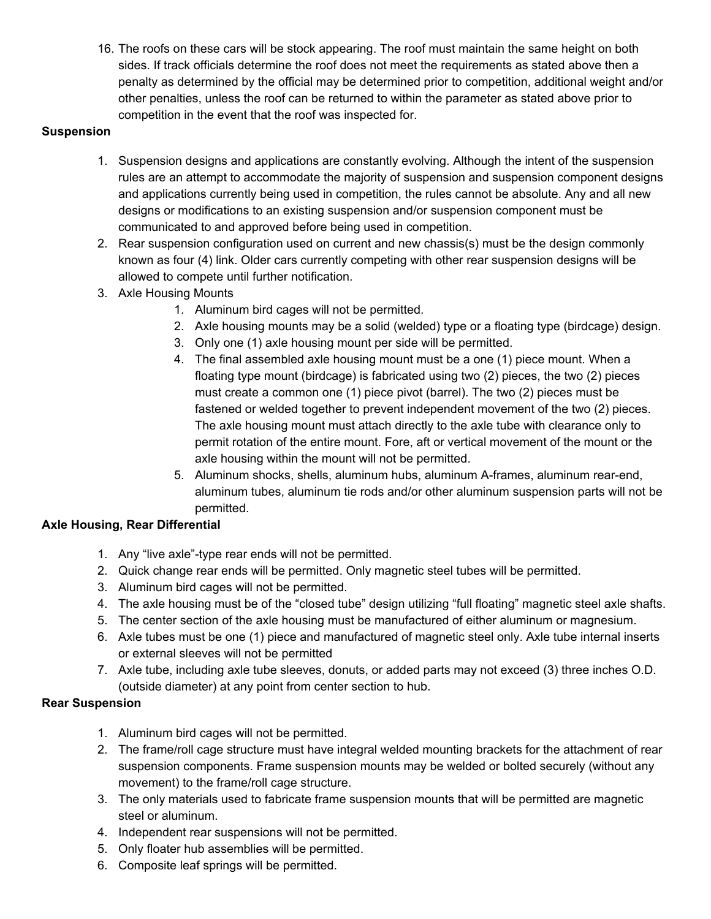16. The roofs on these cars will be stock appearing. The roof must maintain the same height on both sides. If track officials determine the roof does not meet the requirements as stated above then a penalty as determined by the official may be determined prior to competition, additional weight and/or other penalties, unless the roof can be returned to within the parameter as stated above prior to competition in the event that the roof was inspected for.

#### **Suspension**

- 1. Suspension designs and applications are constantly evolving. Although the intent of the suspension rules are an attempt to accommodate the majority of suspension and suspension component designs and applications currently being used in competition, the rules cannot be absolute. Any and all new designs or modifications to an existing suspension and/or suspension component must be communicated to and approved before being used in competition.
- 2. Rear suspension configuration used on current and new chassis(s) must be the design commonly known as four (4) link. Older cars currently competing with other rear suspension designs will be allowed to compete until further notification.
- 3. Axle Housing Mounts
	- 1. Aluminum bird cages will not be permitted.
	- 2. Axle housing mounts may be a solid (welded) type or a floating type (birdcage) design.
	- 3. Only one (1) axle housing mount per side will be permitted.
	- 4. The final assembled axle housing mount must be a one (1) piece mount. When a floating type mount (birdcage) is fabricated using two (2) pieces, the two (2) pieces must create a common one (1) piece pivot (barrel). The two (2) pieces must be fastened or welded together to prevent independent movement of the two (2) pieces. The axle housing mount must attach directly to the axle tube with clearance only to permit rotation of the entire mount. Fore, aft or vertical movement of the mount or the axle housing within the mount will not be permitted.
	- 5. Aluminum shocks, shells, aluminum hubs, aluminum A-frames, aluminum rear-end, aluminum tubes, aluminum tie rods and/or other aluminum suspension parts will not be permitted.

#### **Axle Housing, Rear Differential**

- 1. Any "live axle"-type rear ends will not be permitted.
- 2. Quick change rear ends will be permitted. Only magnetic steel tubes will be permitted.
- 3. Aluminum bird cages will not be permitted.
- 4. The axle housing must be of the "closed tube" design utilizing "full floating" magnetic steel axle shafts.
- 5. The center section of the axle housing must be manufactured of either aluminum or magnesium.
- 6. Axle tubes must be one (1) piece and manufactured of magnetic steel only. Axle tube internal inserts or external sleeves will not be permitted
- 7. Axle tube, including axle tube sleeves, donuts, or added parts may not exceed (3) three inches O.D. (outside diameter) at any point from center section to hub.

### **Rear Suspension**

- 1. Aluminum bird cages will not be permitted.
- 2. The frame/roll cage structure must have integral welded mounting brackets for the attachment of rear suspension components. Frame suspension mounts may be welded or bolted securely (without any movement) to the frame/roll cage structure.
- 3. The only materials used to fabricate frame suspension mounts that will be permitted are magnetic steel or aluminum.
- 4. Independent rear suspensions will not be permitted.
- 5. Only floater hub assemblies will be permitted.
- 6. Composite leaf springs will be permitted.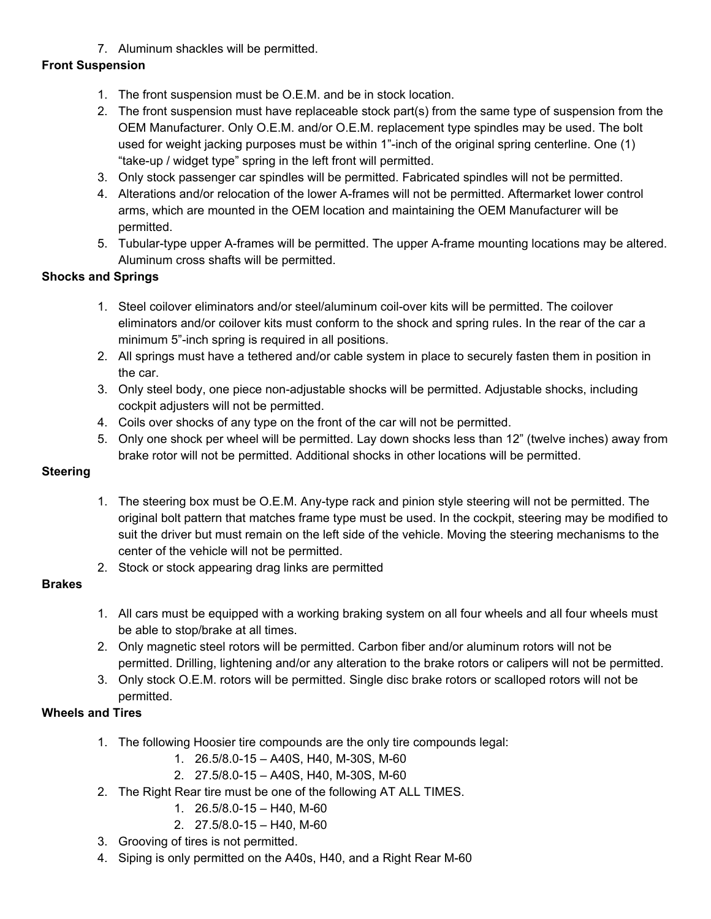7. Aluminum shackles will be permitted.

# **Front Suspension**

- 1. The front suspension must be O.E.M. and be in stock location.
- 2. The front suspension must have replaceable stock part(s) from the same type of suspension from the OEM Manufacturer. Only O.E.M. and/or O.E.M. replacement type spindles may be used. The bolt used for weight jacking purposes must be within 1"-inch of the original spring centerline. One (1) "take-up / widget type" spring in the left front will permitted.
- 3. Only stock passenger car spindles will be permitted. Fabricated spindles will not be permitted.
- 4. Alterations and/or relocation of the lower A-frames will not be permitted. Aftermarket lower control arms, which are mounted in the OEM location and maintaining the OEM Manufacturer will be permitted.
- 5. Tubular-type upper A-frames will be permitted. The upper A-frame mounting locations may be altered. Aluminum cross shafts will be permitted.

# **Shocks and Springs**

- 1. Steel coilover eliminators and/or steel/aluminum coil-over kits will be permitted. The coilover eliminators and/or coilover kits must conform to the shock and spring rules. In the rear of the car a minimum 5"-inch spring is required in all positions.
- 2. All springs must have a tethered and/or cable system in place to securely fasten them in position in the car.
- 3. Only steel body, one piece non-adjustable shocks will be permitted. Adjustable shocks, including cockpit adjusters will not be permitted.
- 4. Coils over shocks of any type on the front of the car will not be permitted.
- 5. Only one shock per wheel will be permitted. Lay down shocks less than 12" (twelve inches) away from brake rotor will not be permitted. Additional shocks in other locations will be permitted.

## **Steering**

- 1. The steering box must be O.E.M. Any-type rack and pinion style steering will not be permitted. The original bolt pattern that matches frame type must be used. In the cockpit, steering may be modified to suit the driver but must remain on the left side of the vehicle. Moving the steering mechanisms to the center of the vehicle will not be permitted.
- 2. Stock or stock appearing drag links are permitted

## **Brakes**

- 1. All cars must be equipped with a working braking system on all four wheels and all four wheels must be able to stop/brake at all times.
- 2. Only magnetic steel rotors will be permitted. Carbon fiber and/or aluminum rotors will not be permitted. Drilling, lightening and/or any alteration to the brake rotors or calipers will not be permitted.
- 3. Only stock O.E.M. rotors will be permitted. Single disc brake rotors or scalloped rotors will not be permitted.

## **Wheels and Tires**

- 1. The following Hoosier tire compounds are the only tire compounds legal:
	- 1. 26.5/8.0-15 A40S, H40, M-30S, M-60
	- 2. 27.5/8.0-15 A40S, H40, M-30S, M-60
- 2. The Right Rear tire must be one of the following AT ALL TIMES.
	- 1. 26.5/8.0-15 H40, M-60
	- 2. 27.5/8.0-15 H40, M-60
- 3. Grooving of tires is not permitted.
- 4. Siping is only permitted on the A40s, H40, and a Right Rear M-60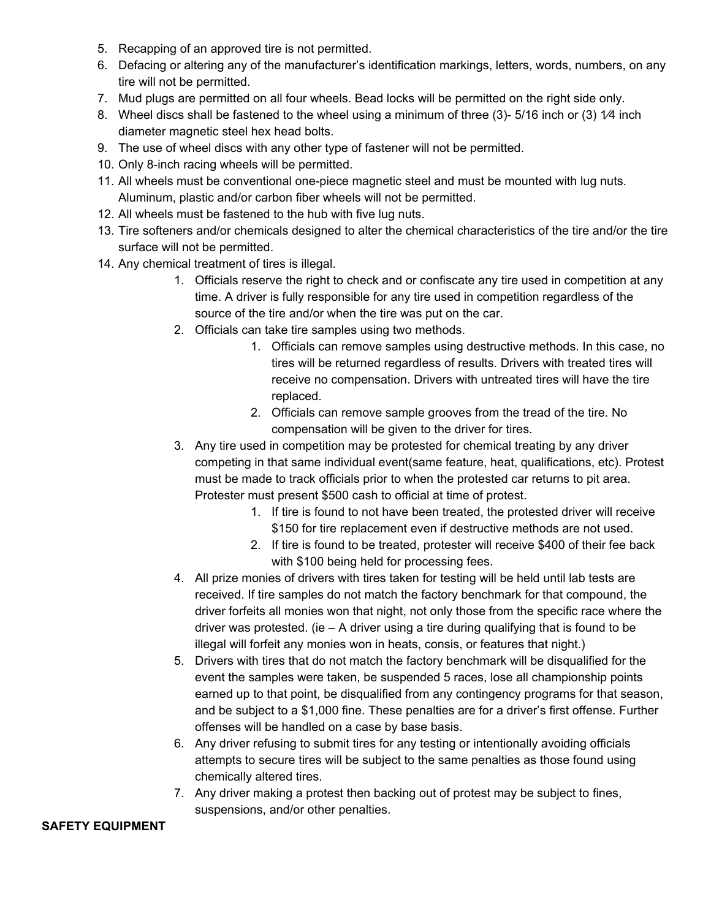- 5. Recapping of an approved tire is not permitted.
- 6. Defacing or altering any of the manufacturer's identification markings, letters, words, numbers, on any tire will not be permitted.
- 7. Mud plugs are permitted on all four wheels. Bead locks will be permitted on the right side only.
- 8. Wheel discs shall be fastened to the wheel using a minimum of three (3)-5/16 inch or (3) 1/4 inch diameter magnetic steel hex head bolts.
- 9. The use of wheel discs with any other type of fastener will not be permitted.
- 10. Only 8-inch racing wheels will be permitted.
- 11. All wheels must be conventional one-piece magnetic steel and must be mounted with lug nuts. Aluminum, plastic and/or carbon fiber wheels will not be permitted.
- 12. All wheels must be fastened to the hub with five lug nuts.
- 13. Tire softeners and/or chemicals designed to alter the chemical characteristics of the tire and/or the tire surface will not be permitted.
- 14. Any chemical treatment of tires is illegal.
	- 1. Officials reserve the right to check and or confiscate any tire used in competition at any time. A driver is fully responsible for any tire used in competition regardless of the source of the tire and/or when the tire was put on the car.
	- 2. Officials can take tire samples using two methods.
		- 1. Officials can remove samples using destructive methods. In this case, no tires will be returned regardless of results. Drivers with treated tires will receive no compensation. Drivers with untreated tires will have the tire replaced.
		- 2. Officials can remove sample grooves from the tread of the tire. No compensation will be given to the driver for tires.
	- 3. Any tire used in competition may be protested for chemical treating by any driver competing in that same individual event(same feature, heat, qualifications, etc). Protest must be made to track officials prior to when the protested car returns to pit area. Protester must present \$500 cash to official at time of protest.
		- 1. If tire is found to not have been treated, the protested driver will receive \$150 for tire replacement even if destructive methods are not used.
		- 2. If tire is found to be treated, protester will receive \$400 of their fee back with \$100 being held for processing fees.
	- 4. All prize monies of drivers with tires taken for testing will be held until lab tests are received. If tire samples do not match the factory benchmark for that compound, the driver forfeits all monies won that night, not only those from the specific race where the driver was protested. (ie  $-$  A driver using a tire during qualifying that is found to be illegal will forfeit any monies won in heats, consis, or features that night.)
	- 5. Drivers with tires that do not match the factory benchmark will be disqualified for the event the samples were taken, be suspended 5 races, lose all championship points earned up to that point, be disqualified from any contingency programs for that season, and be subject to a \$1,000 fine. These penalties are for a driver's first offense. Further offenses will be handled on a case by base basis.
	- 6. Any driver refusing to submit tires for any testing or intentionally avoiding officials attempts to secure tires will be subject to the same penalties as those found using chemically altered tires.
	- 7. Any driver making a protest then backing out of protest may be subject to fines, suspensions, and/or other penalties.

### **SAFETY EQUIPMENT**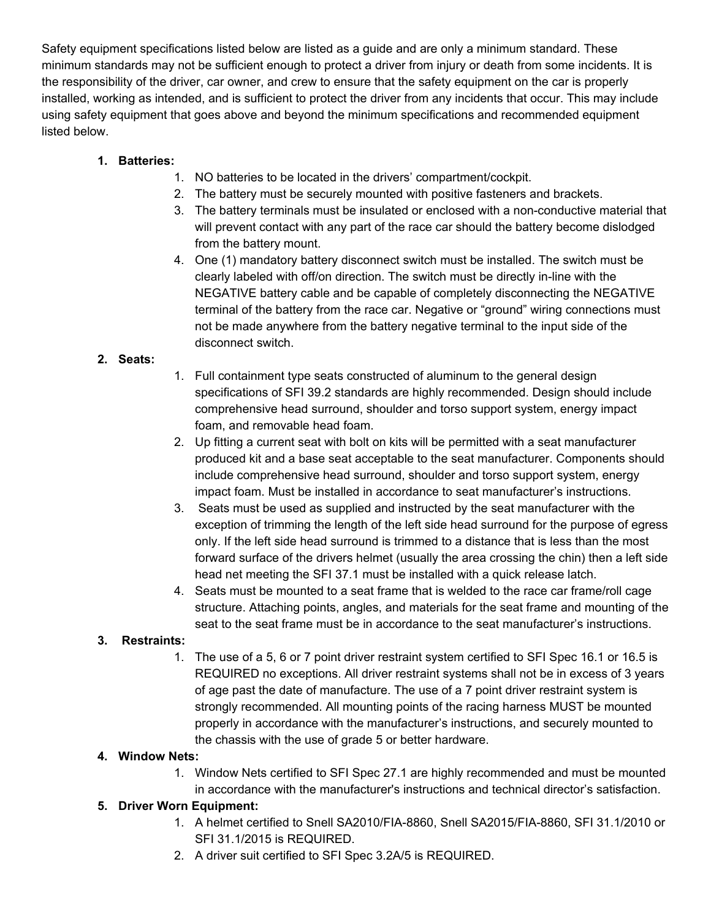Safety equipment specifications listed below are listed as a guide and are only a minimum standard. These minimum standards may not be sufficient enough to protect a driver from injury or death from some incidents. It is the responsibility of the driver, car owner, and crew to ensure that the safety equipment on the car is properly installed, working as intended, and is sufficient to protect the driver from any incidents that occur. This may include using safety equipment that goes above and beyond the minimum specifications and recommended equipment listed below.

## **1. Batteries:**

- 1. NO batteries to be located in the drivers' compartment/cockpit.
- 2. The battery must be securely mounted with positive fasteners and brackets.
- 3. The battery terminals must be insulated or enclosed with a non-conductive material that will prevent contact with any part of the race car should the battery become dislodged from the battery mount.
- 4. One (1) mandatory battery disconnect switch must be installed. The switch must be clearly labeled with off/on direction. The switch must be directly in-line with the NEGATIVE battery cable and be capable of completely disconnecting the NEGATIVE terminal of the battery from the race car. Negative or "ground" wiring connections must not be made anywhere from the battery negative terminal to the input side of the disconnect switch.

## **2. Seats:**

- 1. Full containment type seats constructed of aluminum to the general design specifications of SFI 39.2 standards are highly recommended. Design should include comprehensive head surround, shoulder and torso support system, energy impact foam, and removable head foam.
- 2. Up fitting a current seat with bolt on kits will be permitted with a seat manufacturer produced kit and a base seat acceptable to the seat manufacturer. Components should include comprehensive head surround, shoulder and torso support system, energy impact foam. Must be installed in accordance to seat manufacturer's instructions.
- 3. Seats must be used as supplied and instructed by the seat manufacturer with the exception of trimming the length of the left side head surround for the purpose of egress only. If the left side head surround is trimmed to a distance that is less than the most forward surface of the drivers helmet (usually the area crossing the chin) then a left side head net meeting the SFI 37.1 must be installed with a quick release latch.
- 4. Seats must be mounted to a seat frame that is welded to the race car frame/roll cage structure. Attaching points, angles, and materials for the seat frame and mounting of the seat to the seat frame must be in accordance to the seat manufacturer's instructions.

## **3. Restraints:**

1. The use of a 5, 6 or 7 point driver restraint system certified to SFI Spec 16.1 or 16.5 is REQUIRED no exceptions. All driver restraint systems shall not be in excess of 3 years of age past the date of manufacture. The use of a 7 point driver restraint system is strongly recommended. All mounting points of the racing harness MUST be mounted properly in accordance with the manufacturer's instructions, and securely mounted to the chassis with the use of grade 5 or better hardware.

## **4. Window Nets:**

1. Window Nets certified to SFI Spec 27.1 are highly recommended and must be mounted in accordance with the manufacturer's instructions and technical director's satisfaction.

## **5. Driver Worn Equipment:**

- 1. A helmet certified to Snell SA2010/FIA-8860, Snell SA2015/FIA-8860, SFI 31.1/2010 or SFI 31.1/2015 is REQUIRED.
- 2. A driver suit certified to SFI Spec 3.2A/5 is REQUIRED.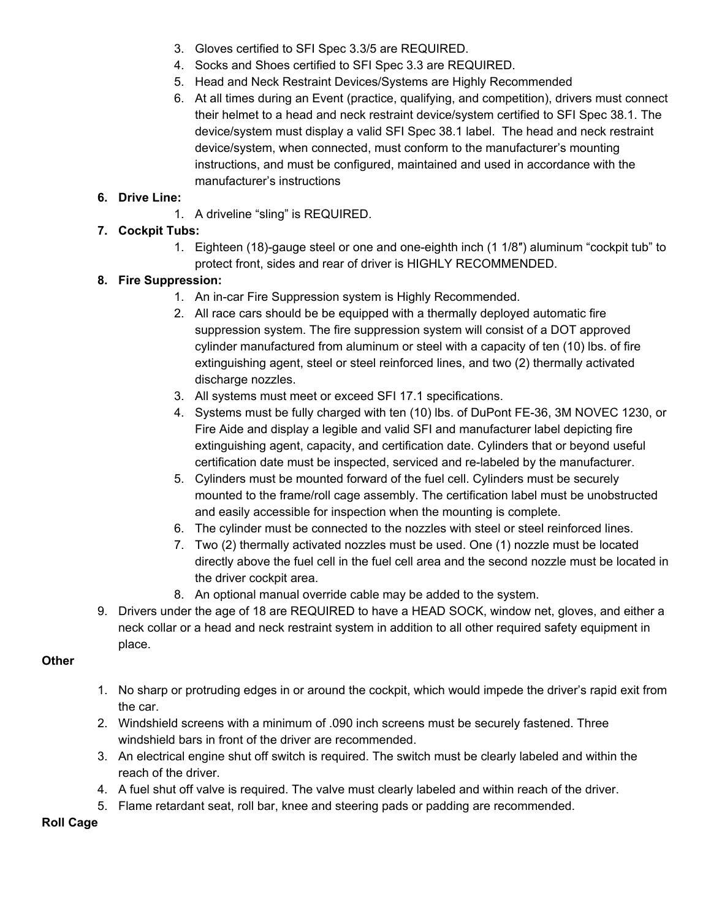- 3. Gloves certified to SFI Spec 3.3/5 are REQUIRED.
- 4. Socks and Shoes certified to SFI Spec 3.3 are REQUIRED.
- 5. Head and Neck Restraint Devices/Systems are Highly Recommended
- 6. At all times during an Event (practice, qualifying, and competition), drivers must connect their helmet to a head and neck restraint device/system certified to SFI Spec 38.1. The device/system must display a valid SFI Spec 38.1 label. The head and neck restraint device/system, when connected, must conform to the manufacturer's mounting instructions, and must be configured, maintained and used in accordance with the manufacturer's instructions

## **6. Drive Line:**

1. A driveline "sling" is REQUIRED.

## **7. Cockpit Tubs:**

1. Eighteen (18)-gauge steel or one and one-eighth inch (1 1/8″) aluminum "cockpit tub" to protect front, sides and rear of driver is HIGHLY RECOMMENDED.

## **8. Fire Suppression:**

- 1. An in-car Fire Suppression system is Highly Recommended.
- 2. All race cars should be be equipped with a thermally deployed automatic fire suppression system. The fire suppression system will consist of a DOT approved cylinder manufactured from aluminum or steel with a capacity of ten (10) lbs. of fire extinguishing agent, steel or steel reinforced lines, and two (2) thermally activated discharge nozzles.
- 3. All systems must meet or exceed SFI 17.1 specifications.
- 4. Systems must be fully charged with ten (10) lbs. of DuPont FE-36, 3M NOVEC 1230, or Fire Aide and display a legible and valid SFI and manufacturer label depicting fire extinguishing agent, capacity, and certification date. Cylinders that or beyond useful certification date must be inspected, serviced and re-labeled by the manufacturer.
- 5. Cylinders must be mounted forward of the fuel cell. Cylinders must be securely mounted to the frame/roll cage assembly. The certification label must be unobstructed and easily accessible for inspection when the mounting is complete.
- 6. The cylinder must be connected to the nozzles with steel or steel reinforced lines.
- 7. Two (2) thermally activated nozzles must be used. One (1) nozzle must be located directly above the fuel cell in the fuel cell area and the second nozzle must be located in the driver cockpit area.
- 8. An optional manual override cable may be added to the system.
- 9. Drivers under the age of 18 are REQUIRED to have a HEAD SOCK, window net, gloves, and either a neck collar or a head and neck restraint system in addition to all other required safety equipment in place.

## **Other**

- 1. No sharp or protruding edges in or around the cockpit, which would impede the driver's rapid exit from the car.
- 2. Windshield screens with a minimum of .090 inch screens must be securely fastened. Three windshield bars in front of the driver are recommended.
- 3. An electrical engine shut off switch is required. The switch must be clearly labeled and within the reach of the driver.
- 4. A fuel shut off valve is required. The valve must clearly labeled and within reach of the driver.
- 5. Flame retardant seat, roll bar, knee and steering pads or padding are recommended.

## **Roll Cage**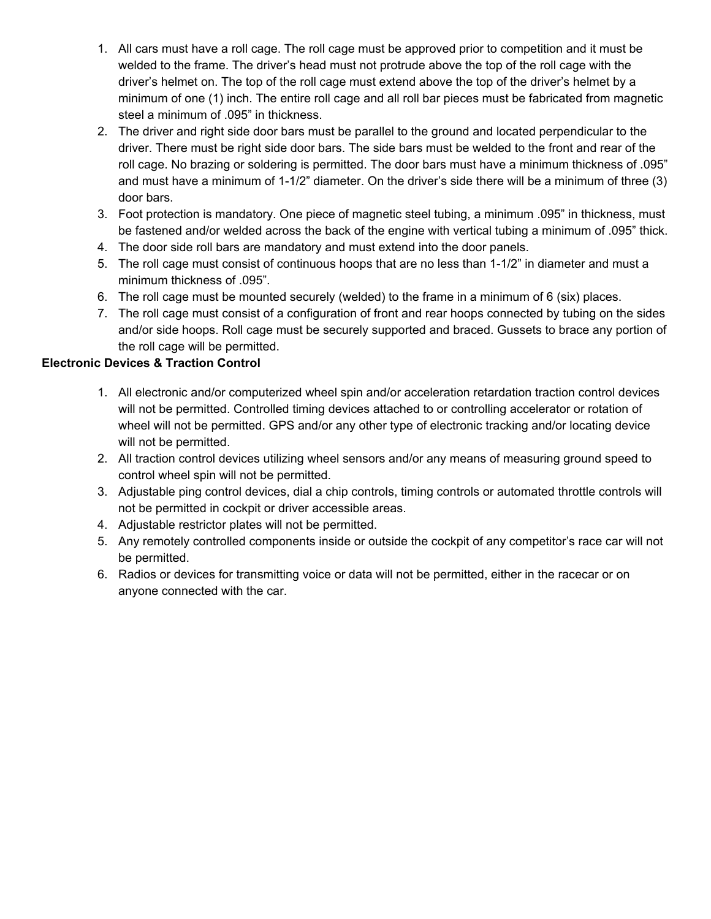- 1. All cars must have a roll cage. The roll cage must be approved prior to competition and it must be welded to the frame. The driver's head must not protrude above the top of the roll cage with the driver's helmet on. The top of the roll cage must extend above the top of the driver's helmet by a minimum of one (1) inch. The entire roll cage and all roll bar pieces must be fabricated from magnetic steel a minimum of .095" in thickness.
- 2. The driver and right side door bars must be parallel to the ground and located perpendicular to the driver. There must be right side door bars. The side bars must be welded to the front and rear of the roll cage. No brazing or soldering is permitted. The door bars must have a minimum thickness of .095" and must have a minimum of 1-1/2" diameter. On the driver's side there will be a minimum of three (3) door bars.
- 3. Foot protection is mandatory. One piece of magnetic steel tubing, a minimum .095" in thickness, must be fastened and/or welded across the back of the engine with vertical tubing a minimum of .095" thick.
- 4. The door side roll bars are mandatory and must extend into the door panels.
- 5. The roll cage must consist of continuous hoops that are no less than 1-1/2" in diameter and must a minimum thickness of .095".
- 6. The roll cage must be mounted securely (welded) to the frame in a minimum of 6 (six) places.
- 7. The roll cage must consist of a configuration of front and rear hoops connected by tubing on the sides and/or side hoops. Roll cage must be securely supported and braced. Gussets to brace any portion of the roll cage will be permitted.

## **Electronic Devices & Traction Control**

- 1. All electronic and/or computerized wheel spin and/or acceleration retardation traction control devices will not be permitted. Controlled timing devices attached to or controlling accelerator or rotation of wheel will not be permitted. GPS and/or any other type of electronic tracking and/or locating device will not be permitted.
- 2. All traction control devices utilizing wheel sensors and/or any means of measuring ground speed to control wheel spin will not be permitted.
- 3. Adjustable ping control devices, dial a chip controls, timing controls or automated throttle controls will not be permitted in cockpit or driver accessible areas.
- 4. Adjustable restrictor plates will not be permitted.
- 5. Any remotely controlled components inside or outside the cockpit of any competitor's race car will not be permitted.
- 6. Radios or devices for transmitting voice or data will not be permitted, either in the racecar or on anyone connected with the car.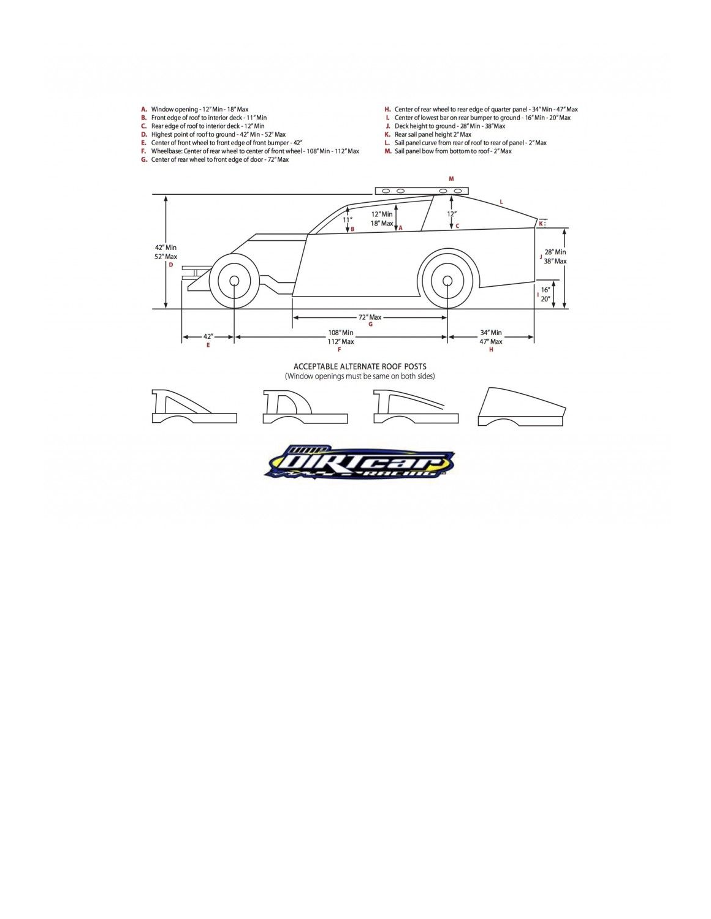- 
- 
- 
- 
- **A.** Window opening -12" Min 18" Max<br> **B.** Front edge of roof to interior deck -11" Min<br> **C.** Rear edge of roof to interior deck -12" Min<br> **D.** Highest point of roof to ground -42" Min -52" Max<br> **E.** Center of front whe
- 
- H. Center of rear wheel to rear edge of quarter panel  $34^{\circ}$  Min  $47^{\circ}$  Max<br>
L. Center of lowest bar on rear bumper to ground  $16^{\circ}$  Min  $20^{\circ}$  Max<br>
J. Deck height to ground  $28^{\circ}$  Min  $38^{\circ}$  Max<br>
- 
- 
- 
- 
- 



ACCEPTABLE ALTERNATE ROOF POSTS (Window openings must be same on both sides)